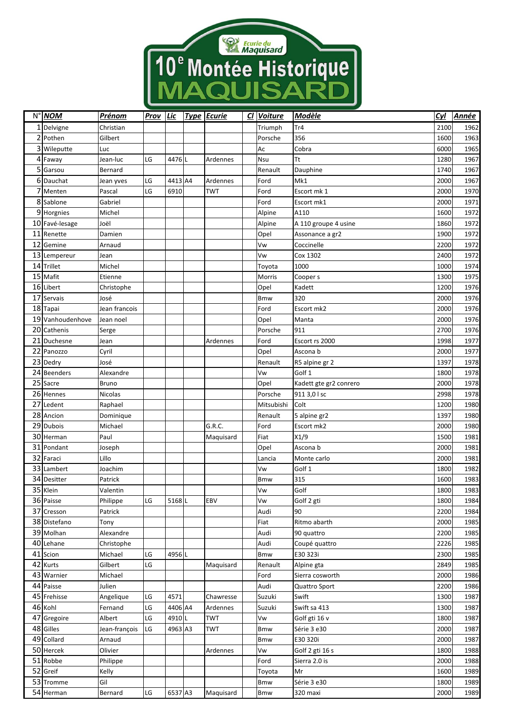

| N° NOM           | <u>Prénom</u> | <b>Prov</b> | <b>Lic</b> | <b>Type Ecurie</b> | Cl Voiture | <b>Modèle</b>          | Cyl  | <u>Année</u> |
|------------------|---------------|-------------|------------|--------------------|------------|------------------------|------|--------------|
| 1 Delvigne       | Christian     |             |            |                    | Triumph    | Tr4                    | 2100 | 1962         |
| 2 Pothen         | Gilbert       |             |            |                    | Porsche    | 356                    | 1600 | 1963         |
| 3 Wileputte      | Luc           |             |            |                    | Aс         | Cobra                  | 6000 | 1965         |
| 4 Faway          | Jean-luc      | LG          | 4476L      | Ardennes           | Nsu        | Tt                     | 1280 | 1967         |
| 5 Garsou         | Bernard       |             |            |                    | Renault    | Dauphine               | 1740 | 1967         |
| 6 Dauchat        | Jean yves     | LG          | 4413 A4    | Ardennes           | Ford       | Mk1                    | 2000 | 1967         |
| 7 Menten         | Pascal        | LG          | 6910       | TWT                | Ford       | Escort mk 1            | 2000 | 1970         |
| 8 Sablone        | Gabriel       |             |            |                    | Ford       | Escort mk1             | 2000 | 1971         |
| 9 Horgnies       | Michel        |             |            |                    | Alpine     | A110                   | 1600 | 1972         |
| 10 Favé-lesage   | Joël          |             |            |                    | Alpine     | A 110 groupe 4 usine   | 1860 | 1972         |
| 11 Renette       | Damien        |             |            |                    | Opel       | Assonance a gr2        | 1900 | 1972         |
| 12 Gemine        | Arnaud        |             |            |                    | Vw         | Coccinelle             | 2200 | 1972         |
| 13 Lempereur     | Jean          |             |            |                    | Vw         | Cox 1302               | 2400 | 1972         |
| 14 Trillet       | Michel        |             |            |                    | Toyota     | 1000                   | 1000 | 1974         |
| 15 Mafit         | Etienne       |             |            |                    | Morris     | Cooper s               | 1300 | 1975         |
| 16 Libert        | Christophe    |             |            |                    | Opel       | Kadett                 | 1200 | 1976         |
| 17 Servais       | José          |             |            |                    | Bmw        | 320                    | 2000 | 1976         |
| 18 Tapai         | Jean francois |             |            |                    | Ford       | Escort mk2             | 2000 | 1976         |
| 19 Vanhoudenhove | Jean noel     |             |            |                    | Opel       | Manta                  | 2000 | 1976         |
| 20 Cathenis      | Serge         |             |            |                    | Porsche    | 911                    | 2700 | 1976         |
| 21 Duchesne      | Jean          |             |            | Ardennes           | Ford       | Escort rs 2000         | 1998 | 1977         |
| 22 Panozzo       | Cyril         |             |            |                    | Opel       | Ascona b               | 2000 | 1977         |
| 23 Dedry         | José          |             |            |                    | Renault    | R5 alpine gr 2         | 1397 | 1978         |
| 24 Beenders      | Alexandre     |             |            |                    | Vw         | Golf 1                 | 1800 | 1978         |
| 25 Sacre         | <b>Bruno</b>  |             |            |                    | Opel       | Kadett gte gr2 conrero | 2000 | 1978         |
| 26 Hennes        | Nicolas       |             |            |                    | Porsche    | 911 3,0 l sc           | 2998 | 1978         |
| 27 Ledent        | Raphael       |             |            |                    | Mitsubishi | Colt                   | 1200 | 1980         |
| 28 Ancion        | Dominique     |             |            |                    | Renault    | 5 alpine gr2           | 1397 | 1980         |
| 29 Dubois        | Michael       |             |            | G.R.C.             | Ford       | Escort mk2             | 2000 | 1980         |
| 30 Herman        | Paul          |             |            | Maquisard          | Fiat       | X1/9                   | 1500 | 1981         |
| 31 Pondant       | Joseph        |             |            |                    | Opel       | Ascona b               | 2000 | 1981         |
| 32 Faraci        | Lillo         |             |            |                    | Lancia     | Monte carlo            | 2000 | 1981         |
| 33 Lambert       | Joachim       |             |            |                    | Vw         | Golf 1                 | 1800 | 1982         |
| 34 Desitter      | Patrick       |             |            |                    | Bmw        | 315                    | 1600 | 1983         |
| 35 Klein         | Valentin      |             |            |                    | Vw         | Golf                   | 1800 | 1983         |
| 36 Paisse        | Philippe      | LG          | 5168L      | EBV                | Vw         | Golf 2 gti             | 1800 | 1984         |
| 37 Cresson       | Patrick       |             |            |                    | Audi       | 90                     | 2200 | 1984         |
| 38 Distefano     | Tony          |             |            |                    | Fiat       | Ritmo abarth           | 2000 | 1985         |
| 39 Molhan        | Alexandre     |             |            |                    | Audi       | 90 quattro             | 2200 | 1985         |
| 40 Lehane        | Christophe    |             |            |                    | Audi       | Coupé quattro          | 2226 | 1985         |
| 41 Scion         | Michael       | LG          | 4956 L     |                    | <b>Bmw</b> | E30 323i               | 2300 | 1985         |
| 42 Kurts         | Gilbert       | LG          |            | Maguisard          | Renault    | Alpine gta             | 2849 | 1985         |
| 43 Warnier       | Michael       |             |            |                    | Ford       | Sierra cosworth        | 2000 | 1986         |
| 44 Paisse        | Julien        |             |            |                    | Audi       | Quattro Sport          | 2200 | 1986         |
| 45 Frehisse      | Angelique     | LG          | 4571       | Chawresse          | Suzuki     | Swift                  | 1300 | 1987         |
| 46 Kohl          | Fernand       | LG          | 4406 A4    | Ardennes           | Suzuki     | Swift sa 413           | 1300 | 1987         |
| 47 Gregoire      | Albert        | LG          | 4910L      | <b>TWT</b>         | Vw         | Golf gti 16 v          | 1800 | 1987         |
| 48 Gilles        | Jean-françois | LG          | 4963 A3    | TWT                | Bmw        | Série 3 e30            | 2000 | 1987         |
| 49 Collard       | Arnaud        |             |            |                    | Bmw        | E30 320i               | 2000 | 1987         |
| 50 Hercek        | Olivier       |             |            | Ardennes           | Vw         | Golf 2 gti 16 s        | 1800 | 1988         |
| 51 Robbe         | Philippe      |             |            |                    | Ford       | Sierra 2.0 is          | 2000 | 1988         |
| 52 Greif         | Kelly         |             |            |                    | Toyota     | Mr                     | 1600 | 1989         |
| 53 Tromme        | Gil           |             |            |                    | <b>Bmw</b> | Série 3 e30            | 1800 | 1989         |
| 54 Herman        | Bernard       | LG          | 6537 A3    | Maquisard          | Bmw        | 320 maxi               | 2000 | 1989         |